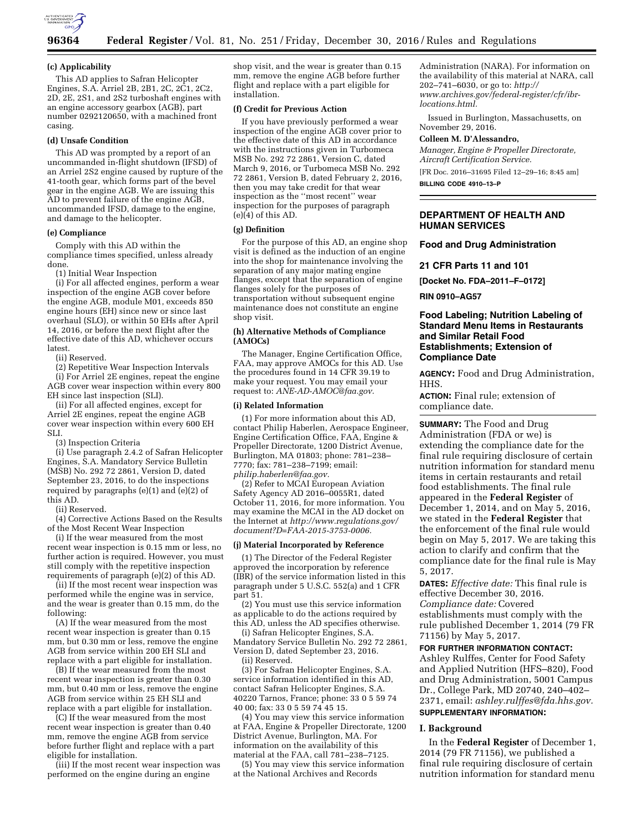

#### **(c) Applicability**

This AD applies to Safran Helicopter Engines, S.A. Arriel 2B, 2B1, 2C, 2C1, 2C2, 2D, 2E, 2S1, and 2S2 turboshaft engines with an engine accessory gearbox (AGB), part number 0292120650, with a machined front casing.

#### **(d) Unsafe Condition**

This AD was prompted by a report of an uncommanded in-flight shutdown (IFSD) of an Arriel 2S2 engine caused by rupture of the 41-tooth gear, which forms part of the bevel gear in the engine AGB. We are issuing this AD to prevent failure of the engine AGB, uncommanded IFSD, damage to the engine, and damage to the helicopter.

#### **(e) Compliance**

Comply with this AD within the compliance times specified, unless already done.

(1) Initial Wear Inspection

(i) For all affected engines, perform a wear inspection of the engine AGB cover before the engine AGB, module M01, exceeds 850 engine hours (EH) since new or since last overhaul (SLO), or within 50 EHs after April 14, 2016, or before the next flight after the effective date of this AD, whichever occurs latest.

(ii) Reserved.

(2) Repetitive Wear Inspection Intervals (i) For Arriel 2E engines, repeat the engine AGB cover wear inspection within every 800 EH since last inspection (SLI).

(ii) For all affected engines, except for Arriel 2E engines, repeat the engine AGB cover wear inspection within every 600 EH SLI.

(3) Inspection Criteria

(i) Use paragraph 2.4.2 of Safran Helicopter Engines, S.A. Mandatory Service Bulletin (MSB) No. 292 72 2861, Version D, dated September 23, 2016, to do the inspections required by paragraphs (e)(1) and (e)(2) of this AD.

(ii) Reserved.

(4) Corrective Actions Based on the Results of the Most Recent Wear Inspection

(i) If the wear measured from the most recent wear inspection is 0.15 mm or less, no further action is required. However, you must still comply with the repetitive inspection requirements of paragraph (e)(2) of this AD.

(ii) If the most recent wear inspection was performed while the engine was in service, and the wear is greater than 0.15 mm, do the following:

(A) If the wear measured from the most recent wear inspection is greater than 0.15 mm, but 0.30 mm or less, remove the engine AGB from service within 200 EH SLI and replace with a part eligible for installation.

(B) If the wear measured from the most recent wear inspection is greater than 0.30 mm, but 0.40 mm or less, remove the engine AGB from service within 25 EH SLI and replace with a part eligible for installation.

(C) If the wear measured from the most recent wear inspection is greater than 0.40 mm, remove the engine AGB from service before further flight and replace with a part eligible for installation.

(iii) If the most recent wear inspection was performed on the engine during an engine

shop visit, and the wear is greater than 0.15 mm, remove the engine AGB before further flight and replace with a part eligible for installation.

## **(f) Credit for Previous Action**

If you have previously performed a wear inspection of the engine AGB cover prior to the effective date of this AD in accordance with the instructions given in Turbomeca MSB No. 292 72 2861, Version C, dated March 9, 2016, or Turbomeca MSB No. 292 72 2861, Version B, dated February 2, 2016, then you may take credit for that wear inspection as the ''most recent'' wear inspection for the purposes of paragraph (e)(4) of this AD.

## **(g) Definition**

For the purpose of this AD, an engine shop visit is defined as the induction of an engine into the shop for maintenance involving the separation of any major mating engine flanges, except that the separation of engine flanges solely for the purposes of transportation without subsequent engine maintenance does not constitute an engine shop visit.

#### **(h) Alternative Methods of Compliance (AMOCs)**

The Manager, Engine Certification Office, FAA, may approve AMOCs for this AD. Use the procedures found in 14 CFR 39.19 to make your request. You may email your request to: *[ANE-AD-AMOC@faa.gov.](mailto:ANE-AD-AMOC@faa.gov)* 

#### **(i) Related Information**

(1) For more information about this AD, contact Philip Haberlen, Aerospace Engineer, Engine Certification Office, FAA, Engine & Propeller Directorate, 1200 District Avenue, Burlington, MA 01803; phone: 781–238– 7770; fax: 781–238–7199; email: *[philip.haberlen@faa.gov.](mailto:philip.haberlen@faa.gov)* 

(2) Refer to MCAI European Aviation Safety Agency AD 2016–0055R1, dated October 11, 2016, for more information. You may examine the MCAI in the AD docket on the Internet at *[http://www.regulations.gov/](http://www.regulations.gov/document?D=FAA-2015-3753-0006)  [document?D=FAA-2015-3753-0006.](http://www.regulations.gov/document?D=FAA-2015-3753-0006)* 

#### **(j) Material Incorporated by Reference**

(1) The Director of the Federal Register approved the incorporation by reference (IBR) of the service information listed in this paragraph under 5 U.S.C. 552(a) and 1 CFR part 51.

(2) You must use this service information as applicable to do the actions required by this AD, unless the AD specifies otherwise.

(i) Safran Helicopter Engines, S.A. Mandatory Service Bulletin No. 292 72 2861, Version D, dated September 23, 2016. (ii) Reserved.

(3) For Safran Helicopter Engines, S.A. service information identified in this AD, contact Safran Helicopter Engines, S.A. 40220 Tarnos, France; phone: 33 0 5 59 74 40 00; fax: 33 0 5 59 74 45 15.

(4) You may view this service information at FAA, Engine & Propeller Directorate, 1200 District Avenue, Burlington, MA. For information on the availability of this material at the FAA, call 781–238–7125.

(5) You may view this service information at the National Archives and Records

Administration (NARA). For information on the availability of this material at NARA, call 202–741–6030, or go to: *[http://](http://www.archives.gov/federal-register/cfr/ibr-locations.html) [www.archives.gov/federal-register/cfr/ibr](http://www.archives.gov/federal-register/cfr/ibr-locations.html)[locations.html.](http://www.archives.gov/federal-register/cfr/ibr-locations.html)* 

Issued in Burlington, Massachusetts, on November 29, 2016.

#### **Colleen M. D'Alessandro,**

*Manager, Engine & Propeller Directorate, Aircraft Certification Service.*  [FR Doc. 2016–31695 Filed 12–29–16; 8:45 am]

**BILLING CODE 4910–13–P** 

## **DEPARTMENT OF HEALTH AND HUMAN SERVICES**

#### **Food and Drug Administration**

**21 CFR Parts 11 and 101** 

**[Docket No. FDA–2011–F–0172]** 

### **RIN 0910–AG57**

## **Food Labeling; Nutrition Labeling of Standard Menu Items in Restaurants and Similar Retail Food Establishments; Extension of Compliance Date**

**AGENCY:** Food and Drug Administration, HHS.

**ACTION:** Final rule; extension of compliance date.

**SUMMARY:** The Food and Drug Administration (FDA or we) is extending the compliance date for the final rule requiring disclosure of certain nutrition information for standard menu items in certain restaurants and retail food establishments. The final rule appeared in the **Federal Register** of December 1, 2014, and on May 5, 2016, we stated in the **Federal Register** that the enforcement of the final rule would begin on May 5, 2017. We are taking this action to clarify and confirm that the compliance date for the final rule is May 5, 2017.

**DATES:** *Effective date:* This final rule is effective December 30, 2016. *Compliance date:* Covered establishments must comply with the rule published December 1, 2014 (79 FR 71156) by May 5, 2017.

# **FOR FURTHER INFORMATION CONTACT:**

Ashley Rulffes, Center for Food Safety and Applied Nutrition (HFS–820), Food and Drug Administration, 5001 Campus Dr., College Park, MD 20740, 240–402– 2371, email: *[ashley.rulffes@fda.hhs.gov.](mailto:ashley.rulffes@fda.hhs.gov)*  **SUPPLEMENTARY INFORMATION:** 

#### **I. Background**

In the **Federal Register** of December 1, 2014 (79 FR 71156), we published a final rule requiring disclosure of certain nutrition information for standard menu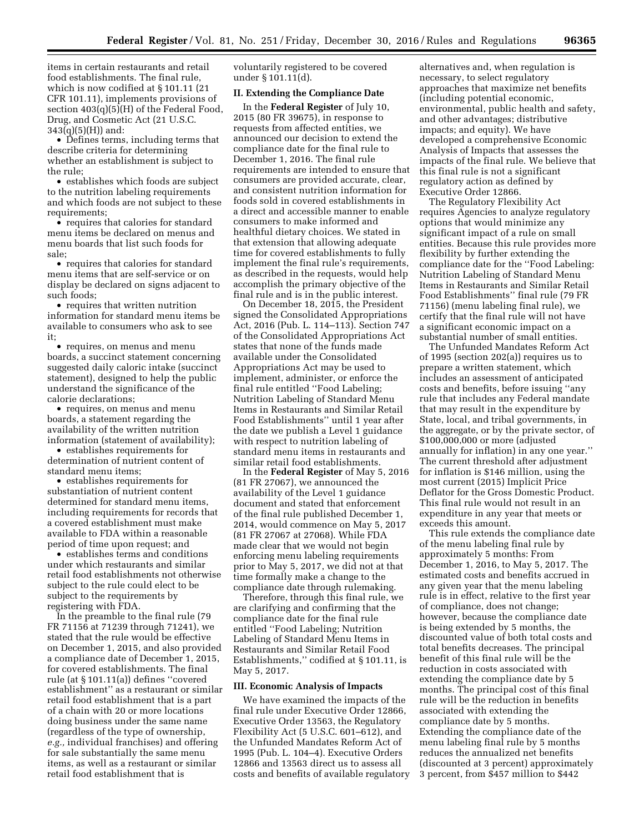items in certain restaurants and retail food establishments. The final rule, which is now codified at § 101.11 (21 CFR 101.11), implements provisions of section 403(q)(5)(H) of the Federal Food, Drug, and Cosmetic Act (21 U.S.C.  $343(q)(5)(H)$  and:

• Defines terms, including terms that describe criteria for determining whether an establishment is subject to the rule;

• establishes which foods are subject to the nutrition labeling requirements and which foods are not subject to these requirements;

• requires that calories for standard menu items be declared on menus and menu boards that list such foods for sale;

• requires that calories for standard menu items that are self-service or on display be declared on signs adjacent to such foods;

• requires that written nutrition information for standard menu items be available to consumers who ask to see it;

• requires, on menus and menu boards, a succinct statement concerning suggested daily caloric intake (succinct statement), designed to help the public understand the significance of the calorie declarations;

• requires, on menus and menu boards, a statement regarding the availability of the written nutrition information (statement of availability);

• establishes requirements for determination of nutrient content of standard menu items;

• establishes requirements for substantiation of nutrient content determined for standard menu items, including requirements for records that a covered establishment must make available to FDA within a reasonable period of time upon request; and

• establishes terms and conditions under which restaurants and similar retail food establishments not otherwise subject to the rule could elect to be subject to the requirements by registering with FDA.

In the preamble to the final rule (79 FR 71156 at 71239 through 71241), we stated that the rule would be effective on December 1, 2015, and also provided a compliance date of December 1, 2015, for covered establishments. The final rule (at § 101.11(a)) defines ''covered establishment'' as a restaurant or similar retail food establishment that is a part of a chain with 20 or more locations doing business under the same name (regardless of the type of ownership, *e.g.,* individual franchises) and offering for sale substantially the same menu items, as well as a restaurant or similar retail food establishment that is

voluntarily registered to be covered under § 101.11(d).

# **II. Extending the Compliance Date**

In the **Federal Register** of July 10, 2015 (80 FR 39675), in response to requests from affected entities, we announced our decision to extend the compliance date for the final rule to December 1, 2016. The final rule requirements are intended to ensure that consumers are provided accurate, clear, and consistent nutrition information for foods sold in covered establishments in a direct and accessible manner to enable consumers to make informed and healthful dietary choices. We stated in that extension that allowing adequate time for covered establishments to fully implement the final rule's requirements, as described in the requests, would help accomplish the primary objective of the final rule and is in the public interest.

On December 18, 2015, the President signed the Consolidated Appropriations Act, 2016 (Pub. L. 114–113). Section 747 of the Consolidated Appropriations Act states that none of the funds made available under the Consolidated Appropriations Act may be used to implement, administer, or enforce the final rule entitled ''Food Labeling; Nutrition Labeling of Standard Menu Items in Restaurants and Similar Retail Food Establishments'' until 1 year after the date we publish a Level 1 guidance with respect to nutrition labeling of standard menu items in restaurants and similar retail food establishments.

In the **Federal Register** of May 5, 2016 (81 FR 27067), we announced the availability of the Level 1 guidance document and stated that enforcement of the final rule published December 1, 2014, would commence on May 5, 2017 (81 FR 27067 at 27068). While FDA made clear that we would not begin enforcing menu labeling requirements prior to May 5, 2017, we did not at that time formally make a change to the compliance date through rulemaking.

Therefore, through this final rule, we are clarifying and confirming that the compliance date for the final rule entitled ''Food Labeling; Nutrition Labeling of Standard Menu Items in Restaurants and Similar Retail Food Establishments,'' codified at § 101.11, is May 5, 2017.

## **III. Economic Analysis of Impacts**

We have examined the impacts of the final rule under Executive Order 12866, Executive Order 13563, the Regulatory Flexibility Act (5 U.S.C. 601–612), and the Unfunded Mandates Reform Act of 1995 (Pub. L. 104–4). Executive Orders 12866 and 13563 direct us to assess all costs and benefits of available regulatory

alternatives and, when regulation is necessary, to select regulatory approaches that maximize net benefits (including potential economic, environmental, public health and safety, and other advantages; distributive impacts; and equity). We have developed a comprehensive Economic Analysis of Impacts that assesses the impacts of the final rule. We believe that this final rule is not a significant regulatory action as defined by Executive Order 12866.

The Regulatory Flexibility Act requires Agencies to analyze regulatory options that would minimize any significant impact of a rule on small entities. Because this rule provides more flexibility by further extending the compliance date for the ''Food Labeling: Nutrition Labeling of Standard Menu Items in Restaurants and Similar Retail Food Establishments'' final rule (79 FR 71156) (menu labeling final rule), we certify that the final rule will not have a significant economic impact on a substantial number of small entities.

The Unfunded Mandates Reform Act of 1995 (section 202(a)) requires us to prepare a written statement, which includes an assessment of anticipated costs and benefits, before issuing ''any rule that includes any Federal mandate that may result in the expenditure by State, local, and tribal governments, in the aggregate, or by the private sector, of \$100,000,000 or more (adjusted annually for inflation) in any one year.'' The current threshold after adjustment for inflation is \$146 million, using the most current (2015) Implicit Price Deflator for the Gross Domestic Product. This final rule would not result in an expenditure in any year that meets or exceeds this amount.

This rule extends the compliance date of the menu labeling final rule by approximately 5 months: From December 1, 2016, to May 5, 2017. The estimated costs and benefits accrued in any given year that the menu labeling rule is in effect, relative to the first year of compliance, does not change; however, because the compliance date is being extended by 5 months, the discounted value of both total costs and total benefits decreases. The principal benefit of this final rule will be the reduction in costs associated with extending the compliance date by 5 months. The principal cost of this final rule will be the reduction in benefits associated with extending the compliance date by 5 months. Extending the compliance date of the menu labeling final rule by 5 months reduces the annualized net benefits (discounted at 3 percent) approximately 3 percent, from \$457 million to \$442